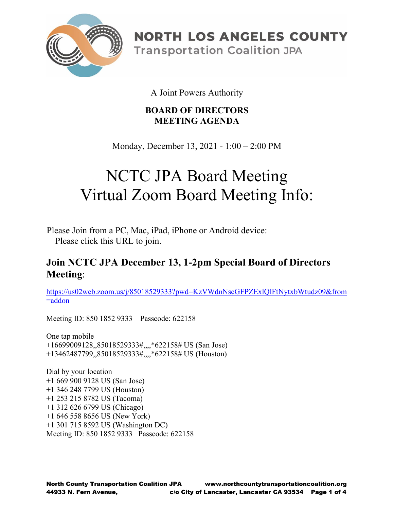

**NORTH LOS ANGELES COUNTY Transportation Coalition JPA** 

A Joint Powers Authority

# **BOARD OF DIRECTORS MEETING AGENDA**

Monday, December 13, 2021 - 1:00 – 2:00 PM

# NCTC JPA Board Meeting Virtual Zoom Board Meeting Info:

Please Join from a PC, Mac, iPad, iPhone or Android device: Please click this URL to join.

# **Join NCTC JPA December 13, 1-2pm Special Board of Directors Meeting**:

[https://us02web.zoom.us/j/85018529333?pwd=KzVWdnNscGFPZExlQlFtNytxbWtudz09&from](https://us02web.zoom.us/j/85018529333?pwd=KzVWdnNscGFPZExlQlFtNytxbWtudz09&from=addon) [=addon](https://us02web.zoom.us/j/85018529333?pwd=KzVWdnNscGFPZExlQlFtNytxbWtudz09&from=addon)

Meeting ID: 850 1852 9333 Passcode: 622158

One tap mobile +16699009128,,85018529333#,,,,\*622158# US (San Jose) +13462487799,,85018529333#,,,,\*622158# US (Houston)

Dial by your location +1 669 900 9128 US (San Jose) +1 346 248 7799 US (Houston) +1 253 215 8782 US (Tacoma) +1 312 626 6799 US (Chicago) +1 646 558 8656 US (New York) +1 301 715 8592 US (Washington DC) Meeting ID: 850 1852 9333 Passcode: 622158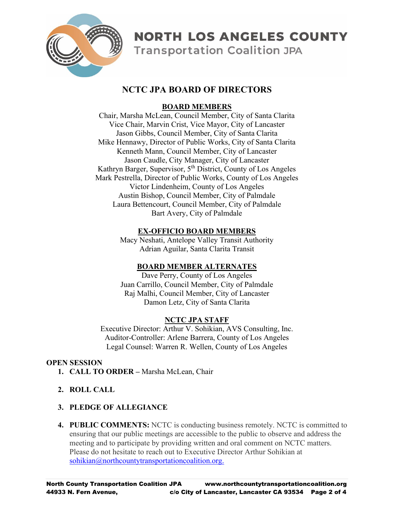

**NORTH LOS ANGELES COUNTY** 

# **Transportation Coalition JPA**

# **NCTC JPA BOARD OF DIRECTORS**

# **BOARD MEMBERS**

Chair, Marsha McLean, Council Member, City of Santa Clarita Vice Chair, Marvin Crist, Vice Mayor, City of Lancaster Jason Gibbs, Council Member, City of Santa Clarita Mike Hennawy, Director of Public Works, City of Santa Clarita Kenneth Mann, Council Member, City of Lancaster Jason Caudle, City Manager, City of Lancaster Kathryn Barger, Supervisor, 5<sup>th</sup> District, County of Los Angeles Mark Pestrella, Director of Public Works, County of Los Angeles Victor Lindenheim, County of Los Angeles Austin Bishop, Council Member, City of Palmdale Laura Bettencourt, Council Member, City of Palmdale Bart Avery, City of Palmdale

#### **EX-OFFICIO BOARD MEMBERS**

Macy Neshati, Antelope Valley Transit Authority Adrian Aguilar, Santa Clarita Transit

# **BOARD MEMBER ALTERNATES**

Dave Perry, County of Los Angeles Juan Carrillo, Council Member, City of Palmdale Raj Malhi, Council Member, City of Lancaster Damon Letz, City of Santa Clarita

# **NCTC JPA STAFF**

Executive Director: Arthur V. Sohikian, AVS Consulting, Inc. Auditor-Controller: Arlene Barrera, County of Los Angeles Legal Counsel: Warren R. Wellen, County of Los Angeles

# **OPEN SESSION**

- **1. CALL TO ORDER –** Marsha McLean, Chair
- **2. ROLL CALL**

# **3. PLEDGE OF ALLEGIANCE**

**4. PUBLIC COMMENTS:** NCTC is conducting business remotely. NCTC is committed to ensuring that our public meetings are accessible to the public to observe and address the meeting and to participate by providing written and oral comment on NCTC matters. Please do not hesitate to reach out to Executive Director Arthur Sohikian at [sohikian@northcountytransportationcoalition.org.](mailto:sohikian@northcountytransportationcoalition.org)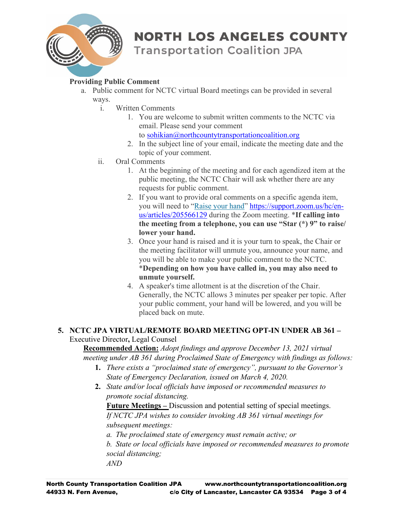

# **NORTH LOS ANGELES COUNTY**

**Transportation Coalition JPA** 

#### **Providing Public Comment**

- a. Public comment for NCTC virtual Board meetings can be provided in several ways.
	- i. Written Comments
		- 1. You are welcome to submit written comments to the NCTC via email. Please send your comment
			- to [sohikian@northcountytransportationcoalition.org](mailto:sohikian@northcountytransportationcoalition.org)
		- 2. In the subject line of your email, indicate the meeting date and the topic of your comment.
	- ii. Oral Comments
		- 1. At the beginning of the meeting and for each agendized item at the public meeting, the NCTC Chair will ask whether there are any requests for public comment.
		- 2. If you want to provide oral comments on a specific agenda item, you will need to ["Raise your hand"](https://support.zoom.us/hc/en-us/articles/205566129-Raise-Hand-In-Webinar) [https://support.zoom.us/hc/en](https://support.zoom.us/hc/en-us/articles/205566129)[us/articles/205566129](https://support.zoom.us/hc/en-us/articles/205566129) during the Zoom meeting. \***If calling into the meeting from a telephone, you can use "Star (\*) 9" to raise/ lower your hand.**
		- 3. Once your hand is raised and it is your turn to speak, the Chair or the meeting facilitator will unmute you, announce your name, and you will be able to make your public comment to the NCTC. \***Depending on how you have called in, you may also need to unmute yourself.**
		- 4. A speaker's time allotment is at the discretion of the Chair. Generally, the NCTC allows 3 minutes per speaker per topic. After your public comment, your hand will be lowered, and you will be placed back on mute.

#### **5. NCTC JPA VIRTUAL/REMOTE BOARD MEETING OPT-IN UNDER AB 361 –** Executive Director**,** Legal Counsel

**Recommended Action:** *Adopt findings and approve December 13, 2021 virtual meeting under AB 361 during Proclaimed State of Emergency with findings as follows:*

- **1.** *There exists a "proclaimed state of emergency", pursuant to the Governor's State of Emergency Declaration, issued on March 4, 2020.*
- **2.** *State and/or local officials have imposed or recommended measures to promote social distancing.*

**Future Meetings –** Discussion and potential setting of special meetings. *If NCTC JPA wishes to consider invoking AB 361 virtual meetings for subsequent meetings:*

*a. The proclaimed state of emergency must remain active; or*

*b. State or local officials have imposed or recommended measures to promote social distancing;*

*AND*